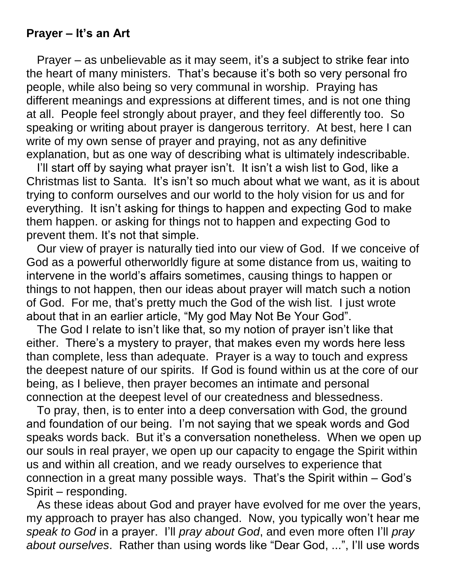## **Prayer – It's an Art**

Prayer – as unbelievable as it may seem, it's a subject to strike fear into the heart of many ministers. That's because it's both so very personal fro people, while also being so very communal in worship. Praying has different meanings and expressions at different times, and is not one thing at all. People feel strongly about prayer, and they feel differently too. So speaking or writing about prayer is dangerous territory. At best, here I can write of my own sense of prayer and praying, not as any definitive explanation, but as one way of describing what is ultimately indescribable.

I'll start off by saying what prayer isn't. It isn't a wish list to God, like a Christmas list to Santa. It's isn't so much about what we want, as it is about trying to conform ourselves and our world to the holy vision for us and for everything. It isn't asking for things to happen and expecting God to make them happen. or asking for things not to happen and expecting God to prevent them. It's not that simple.

Our view of prayer is naturally tied into our view of God. If we conceive of God as a powerful otherworldly figure at some distance from us, waiting to intervene in the world's affairs sometimes, causing things to happen or things to not happen, then our ideas about prayer will match such a notion of God. For me, that's pretty much the God of the wish list. I just wrote about that in an earlier article, "My god May Not Be Your God".

The God I relate to isn't like that, so my notion of prayer isn't like that either. There's a mystery to prayer, that makes even my words here less than complete, less than adequate. Prayer is a way to touch and express the deepest nature of our spirits. If God is found within us at the core of our being, as I believe, then prayer becomes an intimate and personal connection at the deepest level of our createdness and blessedness.

To pray, then, is to enter into a deep conversation with God, the ground and foundation of our being. I'm not saying that we speak words and God speaks words back. But it's a conversation nonetheless. When we open up our souls in real prayer, we open up our capacity to engage the Spirit within us and within all creation, and we ready ourselves to experience that connection in a great many possible ways. That's the Spirit within – God's Spirit – responding.

As these ideas about God and prayer have evolved for me over the years, my approach to prayer has also changed. Now, you typically won't hear me *speak to God* in a prayer. I'll *pray about God*, and even more often I'll *pray about ourselves*. Rather than using words like "Dear God, ...", I'll use words